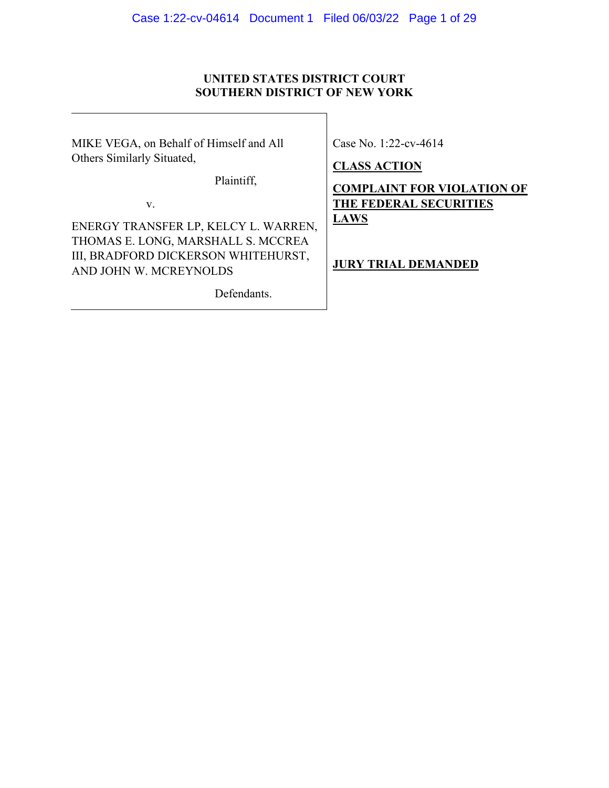## **UNITED STATES DISTRICT COURT SOUTHERN DISTRICT OF NEW YORK**

MIKE VEGA, on Behalf of Himself and All Others Similarly Situated,

Case No. 1:22-cv-4614

**CLASS ACTION** 

Plaintiff,

v.

ENERGY TRANSFER LP, KELCY L. WARREN, THOMAS E. LONG, MARSHALL S. MCCREA III, BRADFORD DICKERSON WHITEHURST, AND JOHN W. MCREYNOLDS

Defendants.

**COMPLAINT FOR VIOLATION OF THE FEDERAL SECURITIES LAWS**

**JURY TRIAL DEMANDED**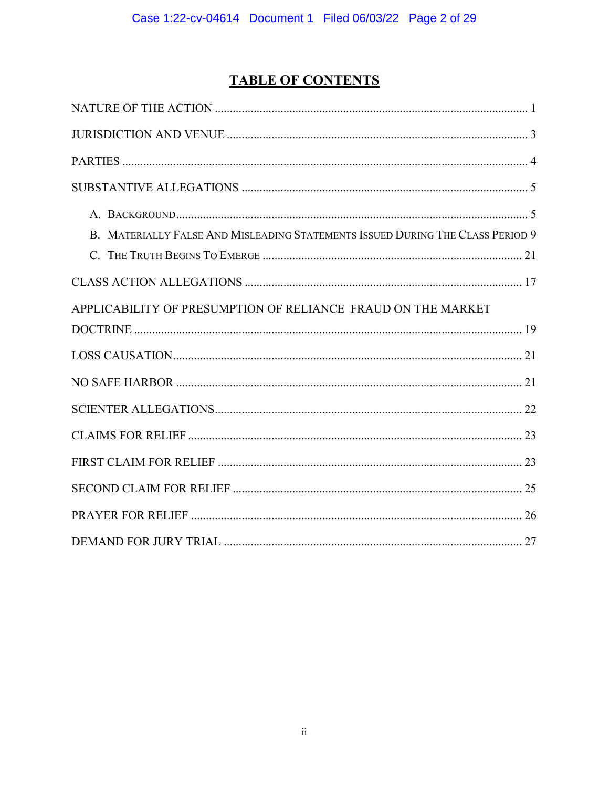# **TABLE OF CONTENTS**

| B. MATERIALLY FALSE AND MISLEADING STATEMENTS ISSUED DURING THE CLASS PERIOD 9 |
|--------------------------------------------------------------------------------|
|                                                                                |
|                                                                                |
| APPLICABILITY OF PRESUMPTION OF RELIANCE FRAUD ON THE MARKET                   |
|                                                                                |
|                                                                                |
|                                                                                |
|                                                                                |
|                                                                                |
|                                                                                |
|                                                                                |
|                                                                                |
|                                                                                |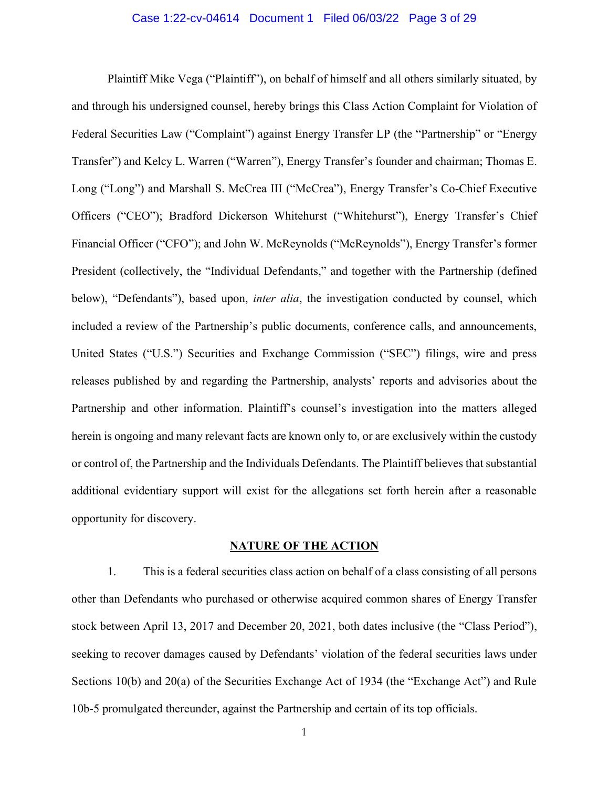#### Case 1:22-cv-04614 Document 1 Filed 06/03/22 Page 3 of 29

Plaintiff Mike Vega ("Plaintiff"), on behalf of himself and all others similarly situated, by and through his undersigned counsel, hereby brings this Class Action Complaint for Violation of Federal Securities Law ("Complaint") against Energy Transfer LP (the "Partnership" or "Energy Transfer") and Kelcy L. Warren ("Warren"), Energy Transfer's founder and chairman; Thomas E. Long ("Long") and Marshall S. McCrea III ("McCrea"), Energy Transfer's Co-Chief Executive Officers ("CEO"); Bradford Dickerson Whitehurst ("Whitehurst"), Energy Transfer's Chief Financial Officer ("CFO"); and John W. McReynolds ("McReynolds"), Energy Transfer's former President (collectively, the "Individual Defendants," and together with the Partnership (defined below), "Defendants"), based upon, *inter alia*, the investigation conducted by counsel, which included a review of the Partnership's public documents, conference calls, and announcements, United States ("U.S.") Securities and Exchange Commission ("SEC") filings, wire and press releases published by and regarding the Partnership, analysts' reports and advisories about the Partnership and other information. Plaintiff's counsel's investigation into the matters alleged herein is ongoing and many relevant facts are known only to, or are exclusively within the custody or control of, the Partnership and the Individuals Defendants. The Plaintiff believes that substantial additional evidentiary support will exist for the allegations set forth herein after a reasonable opportunity for discovery.

#### **NATURE OF THE ACTION**

<span id="page-2-0"></span>1. This is a federal securities class action on behalf of a class consisting of all persons other than Defendants who purchased or otherwise acquired common shares of Energy Transfer stock between April 13, 2017 and December 20, 2021, both dates inclusive (the "Class Period"), seeking to recover damages caused by Defendants' violation of the federal securities laws under Sections 10(b) and 20(a) of the Securities Exchange Act of 1934 (the "Exchange Act") and Rule 10b-5 promulgated thereunder, against the Partnership and certain of its top officials.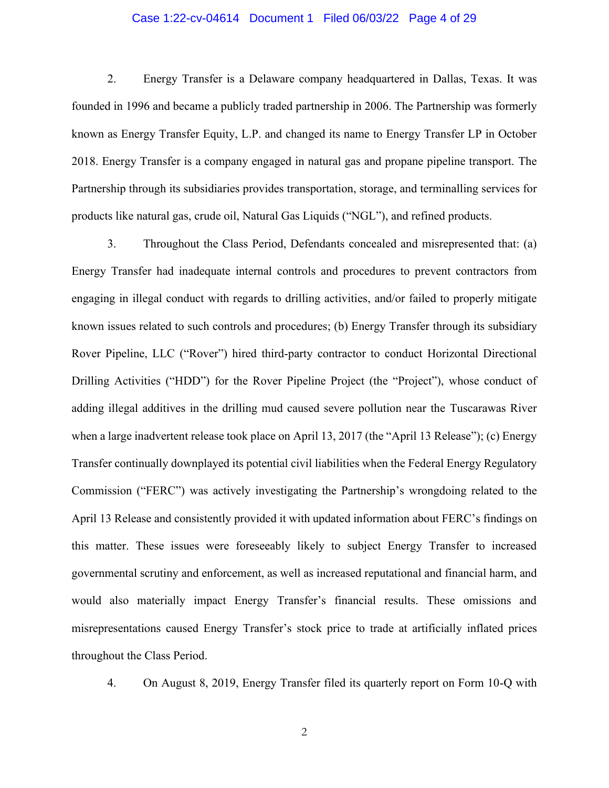#### Case 1:22-cv-04614 Document 1 Filed 06/03/22 Page 4 of 29

2. Energy Transfer is a Delaware company headquartered in Dallas, Texas. It was founded in 1996 and became a publicly traded partnership in 2006. The Partnership was formerly known as Energy Transfer Equity, L.P. and changed its name to Energy Transfer LP in October 2018. Energy Transfer is a company engaged in natural gas and propane pipeline transport. The Partnership through its subsidiaries provides transportation, storage, and terminalling services for products like natural gas, crude oil, Natural Gas Liquids ("NGL"), and refined products.

3. Throughout the Class Period, Defendants concealed and misrepresented that: (a) Energy Transfer had inadequate internal controls and procedures to prevent contractors from engaging in illegal conduct with regards to drilling activities, and/or failed to properly mitigate known issues related to such controls and procedures; (b) Energy Transfer through its subsidiary Rover Pipeline, LLC ("Rover") hired third-party contractor to conduct Horizontal Directional Drilling Activities ("HDD") for the Rover Pipeline Project (the "Project"), whose conduct of adding illegal additives in the drilling mud caused severe pollution near the Tuscarawas River when a large inadvertent release took place on April 13, 2017 (the "April 13 Release"); (c) Energy Transfer continually downplayed its potential civil liabilities when the Federal Energy Regulatory Commission ("FERC") was actively investigating the Partnership's wrongdoing related to the April 13 Release and consistently provided it with updated information about FERC's findings on this matter. These issues were foreseeably likely to subject Energy Transfer to increased governmental scrutiny and enforcement, as well as increased reputational and financial harm, and would also materially impact Energy Transfer's financial results. These omissions and misrepresentations caused Energy Transfer's stock price to trade at artificially inflated prices throughout the Class Period.

4. On August 8, 2019, Energy Transfer filed its quarterly report on Form 10-Q with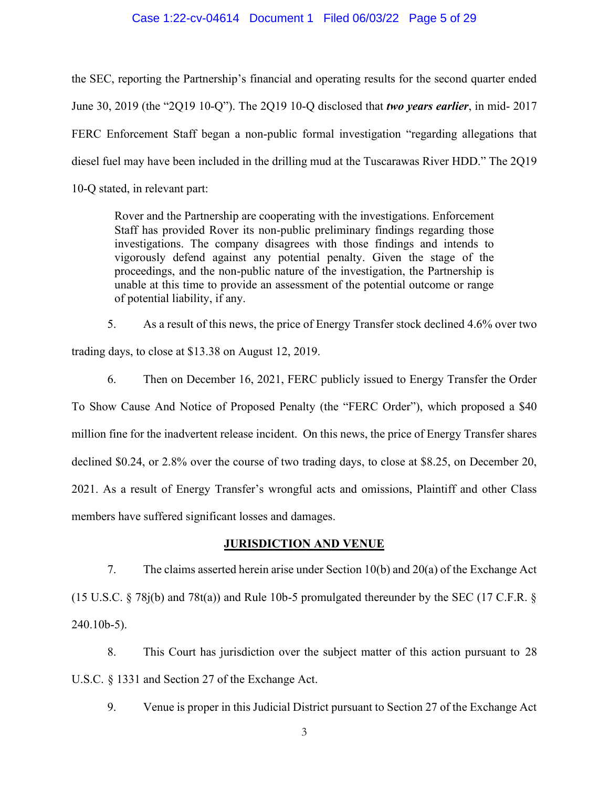#### Case 1:22-cv-04614 Document 1 Filed 06/03/22 Page 5 of 29

the SEC, reporting the Partnership's financial and operating results for the second quarter ended June 30, 2019 (the "2Q19 10-Q"). The 2Q19 10-Q disclosed that *two years earlier*, in mid- 2017 FERC Enforcement Staff began a non-public formal investigation "regarding allegations that diesel fuel may have been included in the drilling mud at the Tuscarawas River HDD." The 2Q19 10-Q stated, in relevant part:

Rover and the Partnership are cooperating with the investigations. Enforcement Staff has provided Rover its non-public preliminary findings regarding those investigations. The company disagrees with those findings and intends to vigorously defend against any potential penalty. Given the stage of the proceedings, and the non-public nature of the investigation, the Partnership is unable at this time to provide an assessment of the potential outcome or range of potential liability, if any.

5. As a result of this news, the price of Energy Transfer stock declined 4.6% over two trading days, to close at \$13.38 on August 12, 2019.

6. Then on December 16, 2021, FERC publicly issued to Energy Transfer the Order To Show Cause And Notice of Proposed Penalty (the "FERC Order"), which proposed a \$40 million fine for the inadvertent release incident. On this news, the price of Energy Transfer shares declined \$0.24, or 2.8% over the course of two trading days, to close at \$8.25, on December 20, 2021. As a result of Energy Transfer's wrongful acts and omissions, Plaintiff and other Class members have suffered significant losses and damages.

## **JURISDICTION AND VENUE**

<span id="page-4-0"></span>7. The claims asserted herein arise under Section 10(b) and 20(a) of the Exchange Act (15 U.S.C. § 78j(b) and 78t(a)) and Rule 10b-5 promulgated thereunder by the SEC (17 C.F.R. § 240.10b-5).

8. This Court has jurisdiction over the subject matter of this action pursuant to 28 U.S.C. § 1331 and Section 27 of the Exchange Act.

9. Venue is proper in this Judicial District pursuant to Section 27 of the Exchange Act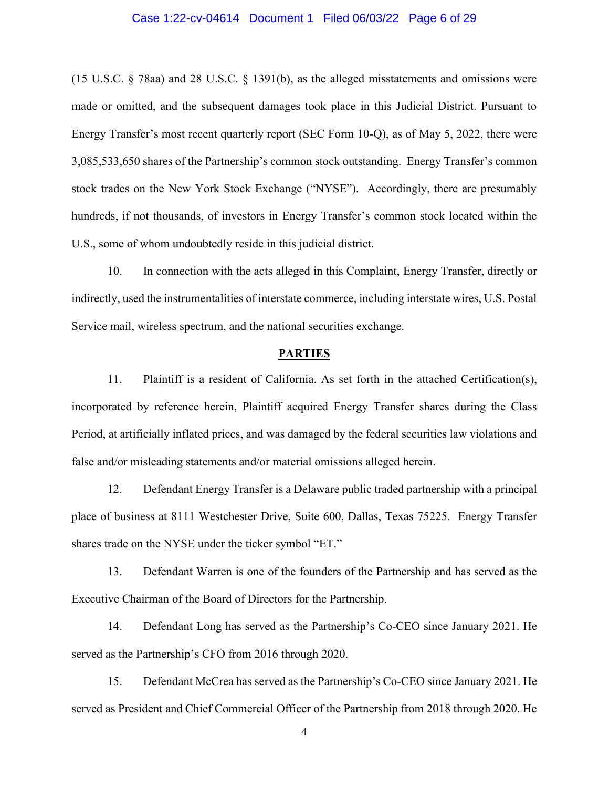#### Case 1:22-cv-04614 Document 1 Filed 06/03/22 Page 6 of 29

(15 U.S.C. § 78aa) and 28 U.S.C. § 1391(b), as the alleged misstatements and omissions were made or omitted, and the subsequent damages took place in this Judicial District. Pursuant to Energy Transfer's most recent quarterly report (SEC Form 10-Q), as of May 5, 2022, there were 3,085,533,650 shares of the Partnership's common stock outstanding. Energy Transfer's common stock trades on the New York Stock Exchange ("NYSE"). Accordingly, there are presumably hundreds, if not thousands, of investors in Energy Transfer's common stock located within the U.S., some of whom undoubtedly reside in this judicial district.

10. In connection with the acts alleged in this Complaint, Energy Transfer, directly or indirectly, used the instrumentalities of interstate commerce, including interstate wires, U.S. Postal Service mail, wireless spectrum, and the national securities exchange.

## **PARTIES**

<span id="page-5-0"></span>11. Plaintiff is a resident of California. As set forth in the attached Certification(s), incorporated by reference herein, Plaintiff acquired Energy Transfer shares during the Class Period, at artificially inflated prices, and was damaged by the federal securities law violations and false and/or misleading statements and/or material omissions alleged herein.

12. Defendant Energy Transfer is a Delaware public traded partnership with a principal place of business at 8111 Westchester Drive, Suite 600, Dallas, Texas 75225. Energy Transfer shares trade on the NYSE under the ticker symbol "ET."

13. Defendant Warren is one of the founders of the Partnership and has served as the Executive Chairman of the Board of Directors for the Partnership.

14. Defendant Long has served as the Partnership's Co-CEO since January 2021. He served as the Partnership's CFO from 2016 through 2020.

15. Defendant McCrea has served as the Partnership's Co-CEO since January 2021. He served as President and Chief Commercial Officer of the Partnership from 2018 through 2020. He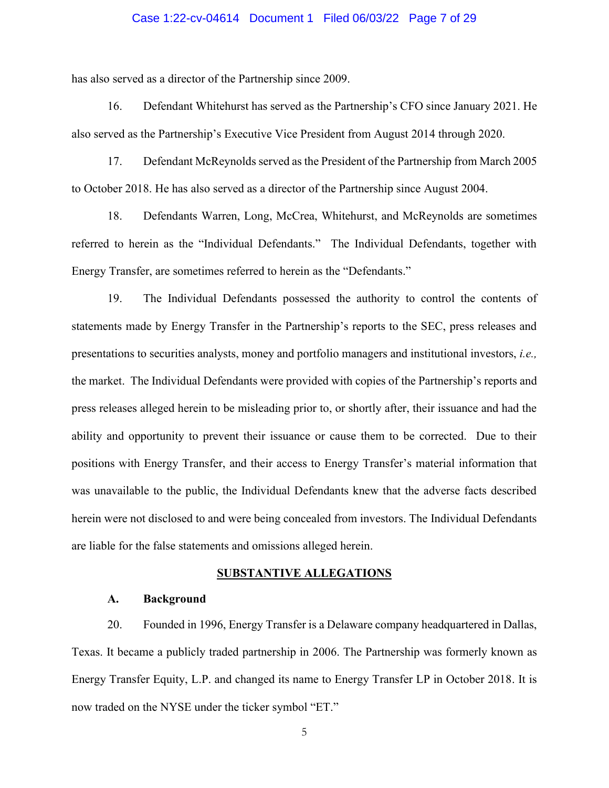#### Case 1:22-cv-04614 Document 1 Filed 06/03/22 Page 7 of 29

has also served as a director of the Partnership since 2009.

16. Defendant Whitehurst has served as the Partnership's CFO since January 2021. He also served as the Partnership's Executive Vice President from August 2014 through 2020.

17. Defendant McReynolds served as the President of the Partnership from March 2005 to October 2018. He has also served as a director of the Partnership since August 2004.

18. Defendants Warren, Long, McCrea, Whitehurst, and McReynolds are sometimes referred to herein as the "Individual Defendants." The Individual Defendants, together with Energy Transfer, are sometimes referred to herein as the "Defendants."

19. The Individual Defendants possessed the authority to control the contents of statements made by Energy Transfer in the Partnership's reports to the SEC, press releases and presentations to securities analysts, money and portfolio managers and institutional investors, *i.e.,*  the market. The Individual Defendants were provided with copies of the Partnership's reports and press releases alleged herein to be misleading prior to, or shortly after, their issuance and had the ability and opportunity to prevent their issuance or cause them to be corrected. Due to their positions with Energy Transfer, and their access to Energy Transfer's material information that was unavailable to the public, the Individual Defendants knew that the adverse facts described herein were not disclosed to and were being concealed from investors. The Individual Defendants are liable for the false statements and omissions alleged herein.

#### **SUBSTANTIVE ALLEGATIONS**

#### <span id="page-6-0"></span>**A. Background**

<span id="page-6-1"></span>20. Founded in 1996, Energy Transfer is a Delaware company headquartered in Dallas, Texas. It became a publicly traded partnership in 2006. The Partnership was formerly known as Energy Transfer Equity, L.P. and changed its name to Energy Transfer LP in October 2018. It is now traded on the NYSE under the ticker symbol "ET."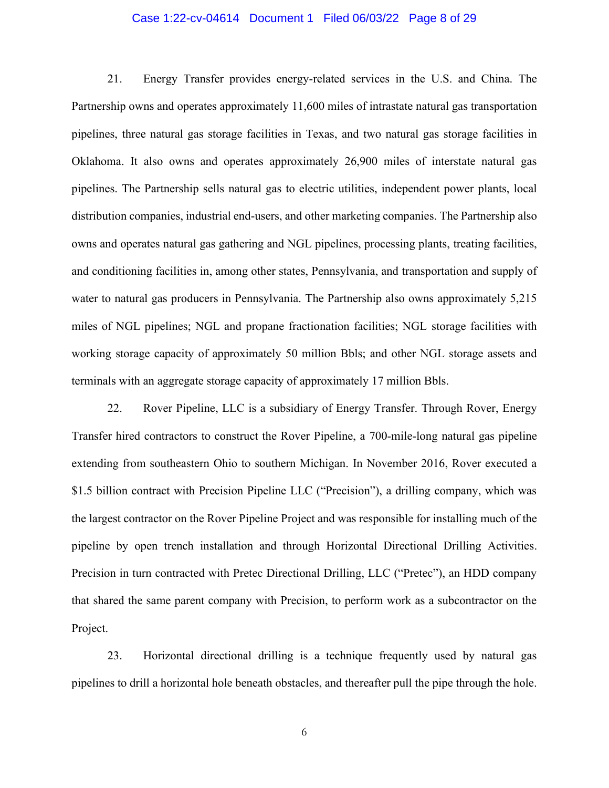#### Case 1:22-cv-04614 Document 1 Filed 06/03/22 Page 8 of 29

21. Energy Transfer provides energy-related services in the U.S. and China. The Partnership owns and operates approximately 11,600 miles of intrastate natural gas transportation pipelines, three natural gas storage facilities in Texas, and two natural gas storage facilities in Oklahoma. It also owns and operates approximately 26,900 miles of interstate natural gas pipelines. The Partnership sells natural gas to electric utilities, independent power plants, local distribution companies, industrial end-users, and other marketing companies. The Partnership also owns and operates natural gas gathering and NGL pipelines, processing plants, treating facilities, and conditioning facilities in, among other states, Pennsylvania, and transportation and supply of water to natural gas producers in Pennsylvania. The Partnership also owns approximately 5,215 miles of NGL pipelines; NGL and propane fractionation facilities; NGL storage facilities with working storage capacity of approximately 50 million Bbls; and other NGL storage assets and terminals with an aggregate storage capacity of approximately 17 million Bbls.

22. Rover Pipeline, LLC is a subsidiary of Energy Transfer. Through Rover, Energy Transfer hired contractors to construct the Rover Pipeline, a 700-mile-long natural gas pipeline extending from southeastern Ohio to southern Michigan. In November 2016, Rover executed a \$1.5 billion contract with Precision Pipeline LLC ("Precision"), a drilling company, which was the largest contractor on the Rover Pipeline Project and was responsible for installing much of the pipeline by open trench installation and through Horizontal Directional Drilling Activities. Precision in turn contracted with Pretec Directional Drilling, LLC ("Pretec"), an HDD company that shared the same parent company with Precision, to perform work as a subcontractor on the Project.

23. Horizontal directional drilling is a technique frequently used by natural gas pipelines to drill a horizontal hole beneath obstacles, and thereafter pull the pipe through the hole.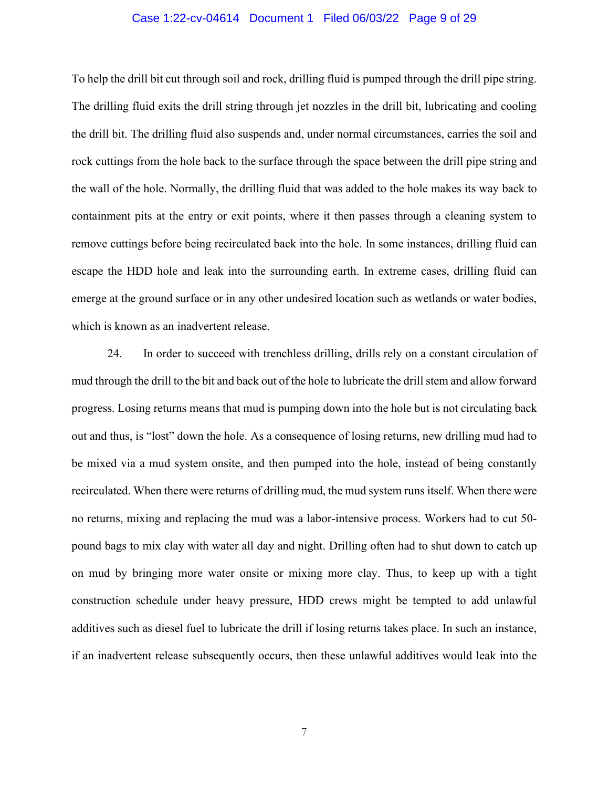#### Case 1:22-cv-04614 Document 1 Filed 06/03/22 Page 9 of 29

To help the drill bit cut through soil and rock, drilling fluid is pumped through the drill pipe string. The drilling fluid exits the drill string through jet nozzles in the drill bit, lubricating and cooling the drill bit. The drilling fluid also suspends and, under normal circumstances, carries the soil and rock cuttings from the hole back to the surface through the space between the drill pipe string and the wall of the hole. Normally, the drilling fluid that was added to the hole makes its way back to containment pits at the entry or exit points, where it then passes through a cleaning system to remove cuttings before being recirculated back into the hole. In some instances, drilling fluid can escape the HDD hole and leak into the surrounding earth. In extreme cases, drilling fluid can emerge at the ground surface or in any other undesired location such as wetlands or water bodies, which is known as an inadvertent release.

24. In order to succeed with trenchless drilling, drills rely on a constant circulation of mud through the drill to the bit and back out of the hole to lubricate the drill stem and allow forward progress. Losing returns means that mud is pumping down into the hole but is not circulating back out and thus, is "lost" down the hole. As a consequence of losing returns, new drilling mud had to be mixed via a mud system onsite, and then pumped into the hole, instead of being constantly recirculated. When there were returns of drilling mud, the mud system runs itself. When there were no returns, mixing and replacing the mud was a labor-intensive process. Workers had to cut 50 pound bags to mix clay with water all day and night. Drilling often had to shut down to catch up on mud by bringing more water onsite or mixing more clay. Thus, to keep up with a tight construction schedule under heavy pressure, HDD crews might be tempted to add unlawful additives such as diesel fuel to lubricate the drill if losing returns takes place. In such an instance, if an inadvertent release subsequently occurs, then these unlawful additives would leak into the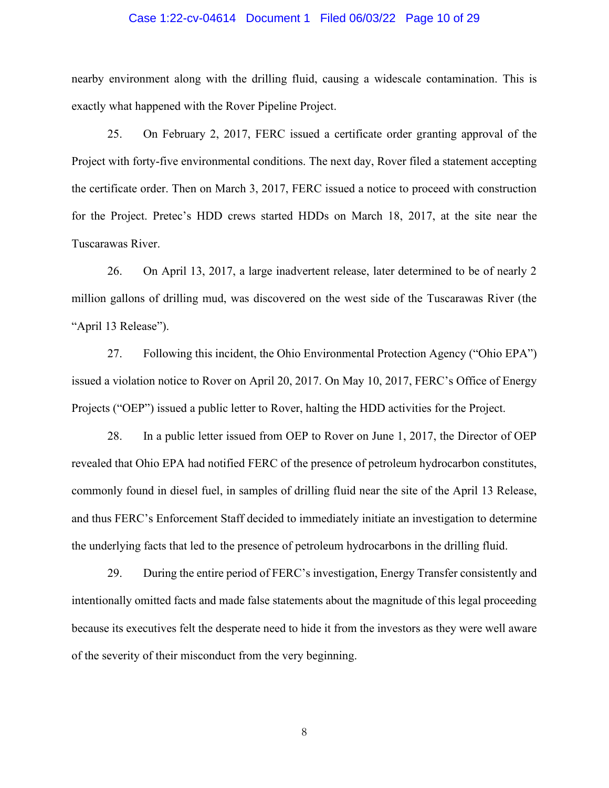#### Case 1:22-cv-04614 Document 1 Filed 06/03/22 Page 10 of 29

nearby environment along with the drilling fluid, causing a widescale contamination. This is exactly what happened with the Rover Pipeline Project.

25. On February 2, 2017, FERC issued a certificate order granting approval of the Project with forty-five environmental conditions. The next day, Rover filed a statement accepting the certificate order. Then on March 3, 2017, FERC issued a notice to proceed with construction for the Project. Pretec's HDD crews started HDDs on March 18, 2017, at the site near the Tuscarawas River.

26. On April 13, 2017, a large inadvertent release, later determined to be of nearly 2 million gallons of drilling mud, was discovered on the west side of the Tuscarawas River (the "April 13 Release").

27. Following this incident, the Ohio Environmental Protection Agency ("Ohio EPA") issued a violation notice to Rover on April 20, 2017. On May 10, 2017, FERC's Office of Energy Projects ("OEP") issued a public letter to Rover, halting the HDD activities for the Project.

28. In a public letter issued from OEP to Rover on June 1, 2017, the Director of OEP revealed that Ohio EPA had notified FERC of the presence of petroleum hydrocarbon constitutes, commonly found in diesel fuel, in samples of drilling fluid near the site of the April 13 Release, and thus FERC's Enforcement Staff decided to immediately initiate an investigation to determine the underlying facts that led to the presence of petroleum hydrocarbons in the drilling fluid.

29. During the entire period of FERC's investigation, Energy Transfer consistently and intentionally omitted facts and made false statements about the magnitude of this legal proceeding because its executives felt the desperate need to hide it from the investors as they were well aware of the severity of their misconduct from the very beginning.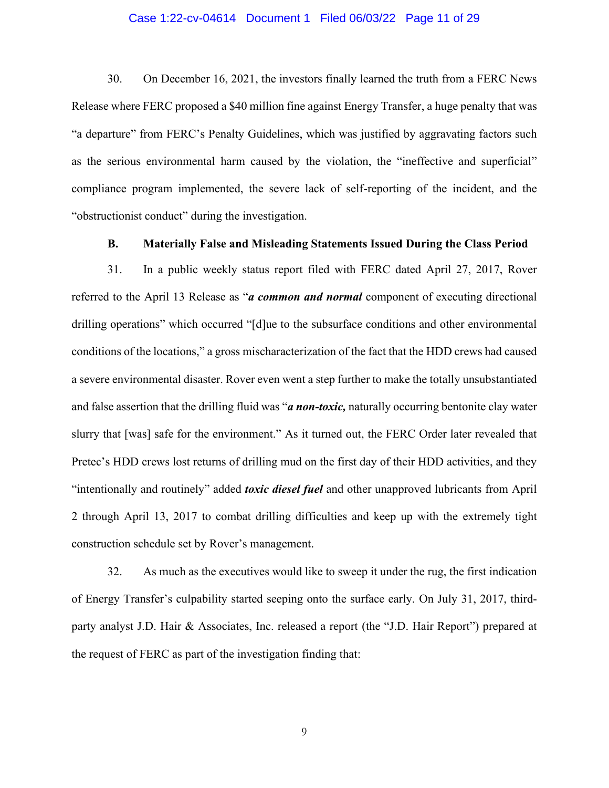#### Case 1:22-cv-04614 Document 1 Filed 06/03/22 Page 11 of 29

30. On December 16, 2021, the investors finally learned the truth from a FERC News Release where FERC proposed a \$40 million fine against Energy Transfer, a huge penalty that was "a departure" from FERC's Penalty Guidelines, which was justified by aggravating factors such as the serious environmental harm caused by the violation, the "ineffective and superficial" compliance program implemented, the severe lack of self-reporting of the incident, and the "obstructionist conduct" during the investigation.

#### **B. Materially False and Misleading Statements Issued During the Class Period**

<span id="page-10-0"></span>31. In a public weekly status report filed with FERC dated April 27, 2017, Rover referred to the April 13 Release as "*a common and normal* component of executing directional drilling operations" which occurred "[d]ue to the subsurface conditions and other environmental conditions of the locations," a gross mischaracterization of the fact that the HDD crews had caused a severe environmental disaster. Rover even went a step further to make the totally unsubstantiated and false assertion that the drilling fluid was "*a non-toxic,* naturally occurring bentonite clay water slurry that [was] safe for the environment." As it turned out, the FERC Order later revealed that Pretec's HDD crews lost returns of drilling mud on the first day of their HDD activities, and they "intentionally and routinely" added *toxic diesel fuel* and other unapproved lubricants from April 2 through April 13, 2017 to combat drilling difficulties and keep up with the extremely tight construction schedule set by Rover's management.

32. As much as the executives would like to sweep it under the rug, the first indication of Energy Transfer's culpability started seeping onto the surface early. On July 31, 2017, thirdparty analyst J.D. Hair & Associates, Inc. released a report (the "J.D. Hair Report") prepared at the request of FERC as part of the investigation finding that: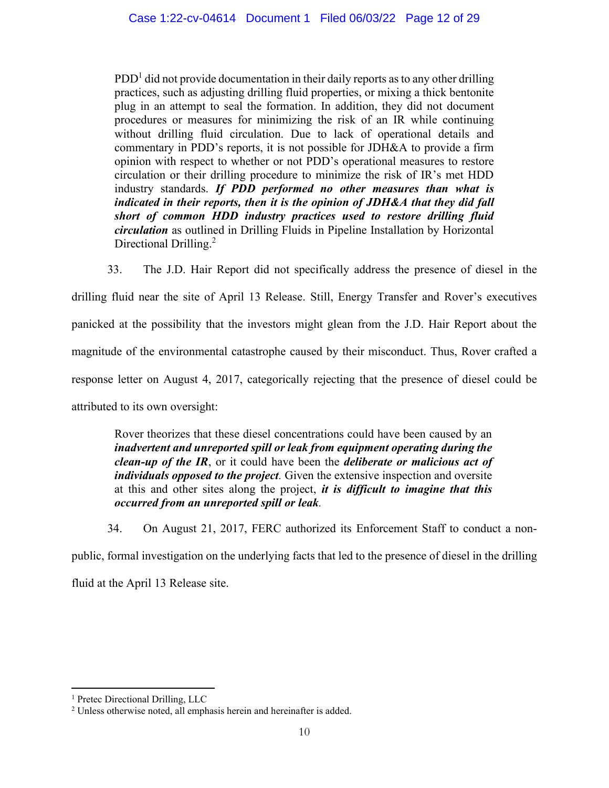$\text{PDD}^1$  did not provide documentation in their daily reports as to any other drilling practices, such as adjusting drilling fluid properties, or mixing a thick bentonite plug in an attempt to seal the formation. In addition, they did not document procedures or measures for minimizing the risk of an IR while continuing without drilling fluid circulation. Due to lack of operational details and commentary in PDD's reports, it is not possible for JDH&A to provide a firm opinion with respect to whether or not PDD's operational measures to restore circulation or their drilling procedure to minimize the risk of IR's met HDD industry standards. *If PDD performed no other measures than what is indicated in their reports, then it is the opinion of JDH&A that they did fall short of common HDD industry practices used to restore drilling fluid circulation* as outlined in Drilling Fluids in Pipeline Installation by Horizontal Directional Drilling.<sup>2</sup>

33. The J.D. Hair Report did not specifically address the presence of diesel in the drilling fluid near the site of April 13 Release. Still, Energy Transfer and Rover's executives panicked at the possibility that the investors might glean from the J.D. Hair Report about the magnitude of the environmental catastrophe caused by their misconduct. Thus, Rover crafted a response letter on August 4, 2017, categorically rejecting that the presence of diesel could be attributed to its own oversight:

Rover theorizes that these diesel concentrations could have been caused by an *inadvertent and unreported spill or leak from equipment operating during the clean-up of the IR*, or it could have been the *deliberate or malicious act of individuals opposed to the project.* Given the extensive inspection and oversite at this and other sites along the project, *it is difficult to imagine that this occurred from an unreported spill or leak.*

34. On August 21, 2017, FERC authorized its Enforcement Staff to conduct a nonpublic, formal investigation on the underlying facts that led to the presence of diesel in the drilling fluid at the April 13 Release site.

<sup>&</sup>lt;sup>1</sup> Pretec Directional Drilling, LLC

<sup>&</sup>lt;sup>2</sup> Unless otherwise noted, all emphasis herein and hereinafter is added.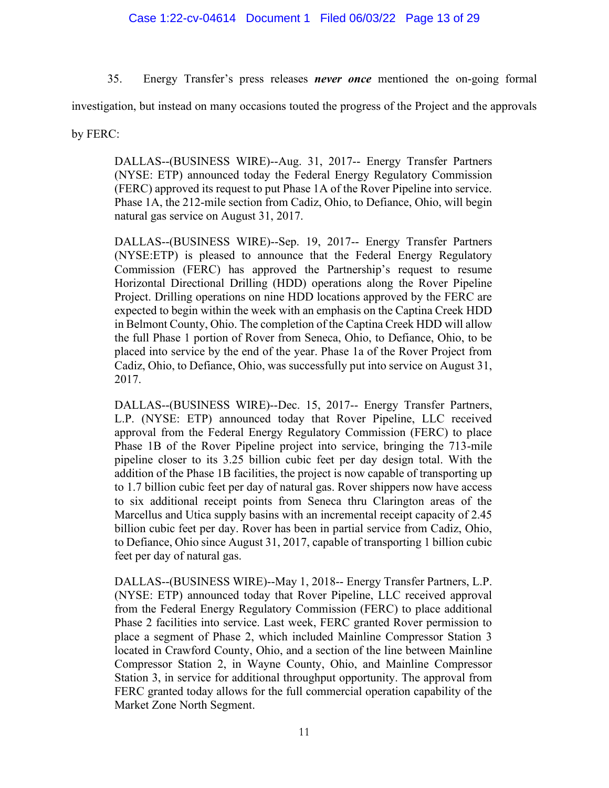35. Energy Transfer's press releases *never once* mentioned the on-going formal

investigation, but instead on many occasions touted the progress of the Project and the approvals

by FERC:

DALLAS--(BUSINESS WIRE)--Aug. 31, 2017-- Energy Transfer Partners (NYSE: ETP) announced today the Federal Energy Regulatory Commission (FERC) approved its request to put Phase 1A of the Rover Pipeline into service. Phase 1A, the 212-mile section from Cadiz, Ohio, to Defiance, Ohio, will begin natural gas service on August 31, 2017.

DALLAS--(BUSINESS WIRE)--Sep. 19, 2017-- Energy Transfer Partners (NYSE:ETP) is pleased to announce that the Federal Energy Regulatory Commission (FERC) has approved the Partnership's request to resume Horizontal Directional Drilling (HDD) operations along the Rover Pipeline Project. Drilling operations on nine HDD locations approved by the FERC are expected to begin within the week with an emphasis on the Captina Creek HDD in Belmont County, Ohio. The completion of the Captina Creek HDD will allow the full Phase 1 portion of Rover from Seneca, Ohio, to Defiance, Ohio, to be placed into service by the end of the year. Phase 1a of the Rover Project from Cadiz, Ohio, to Defiance, Ohio, was successfully put into service on August 31, 2017.

DALLAS--(BUSINESS WIRE)--Dec. 15, 2017-- Energy Transfer Partners, L.P. (NYSE: ETP) announced today that Rover Pipeline, LLC received approval from the Federal Energy Regulatory Commission (FERC) to place Phase 1B of the Rover Pipeline project into service, bringing the 713-mile pipeline closer to its 3.25 billion cubic feet per day design total. With the addition of the Phase 1B facilities, the project is now capable of transporting up to 1.7 billion cubic feet per day of natural gas. Rover shippers now have access to six additional receipt points from Seneca thru Clarington areas of the Marcellus and Utica supply basins with an incremental receipt capacity of 2.45 billion cubic feet per day. Rover has been in partial service from Cadiz, Ohio, to Defiance, Ohio since August 31, 2017, capable of transporting 1 billion cubic feet per day of natural gas.

DALLAS--(BUSINESS WIRE)--May 1, 2018-- Energy Transfer Partners, L.P. (NYSE: ETP) announced today that Rover Pipeline, LLC received approval from the Federal Energy Regulatory Commission (FERC) to place additional Phase 2 facilities into service. Last week, FERC granted Rover permission to place a segment of Phase 2, which included Mainline Compressor Station 3 located in Crawford County, Ohio, and a section of the line between Mainline Compressor Station 2, in Wayne County, Ohio, and Mainline Compressor Station 3, in service for additional throughput opportunity. The approval from FERC granted today allows for the full commercial operation capability of the Market Zone North Segment.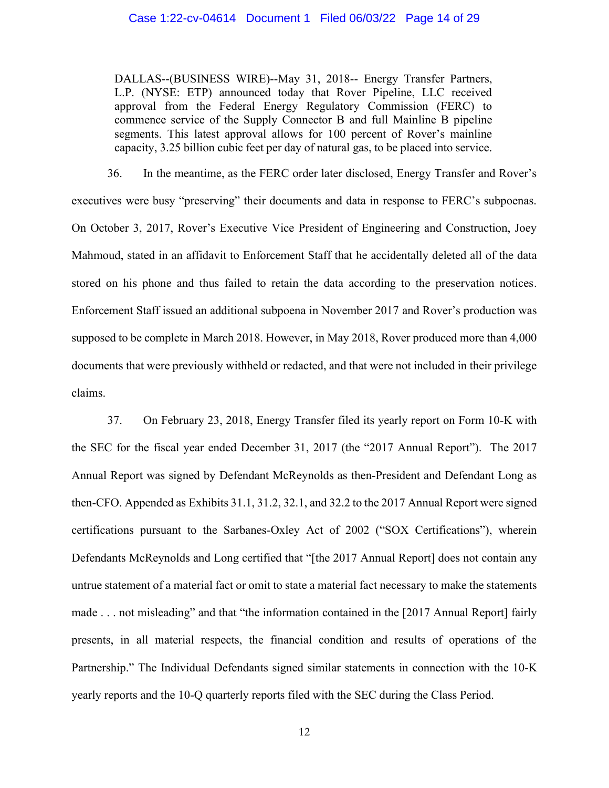DALLAS--(BUSINESS WIRE)--May 31, 2018-- Energy Transfer Partners, L.P. (NYSE: ETP) announced today that Rover Pipeline, LLC received approval from the Federal Energy Regulatory Commission (FERC) to commence service of the Supply Connector B and full Mainline B pipeline segments. This latest approval allows for 100 percent of Rover's mainline capacity, 3.25 billion cubic feet per day of natural gas, to be placed into service.

36. In the meantime, as the FERC order later disclosed, Energy Transfer and Rover's executives were busy "preserving" their documents and data in response to FERC's subpoenas. On October 3, 2017, Rover's Executive Vice President of Engineering and Construction, Joey Mahmoud, stated in an affidavit to Enforcement Staff that he accidentally deleted all of the data stored on his phone and thus failed to retain the data according to the preservation notices. Enforcement Staff issued an additional subpoena in November 2017 and Rover's production was supposed to be complete in March 2018. However, in May 2018, Rover produced more than 4,000 documents that were previously withheld or redacted, and that were not included in their privilege claims.

37. On February 23, 2018, Energy Transfer filed its yearly report on Form 10-K with the SEC for the fiscal year ended December 31, 2017 (the "2017 Annual Report"). The 2017 Annual Report was signed by Defendant McReynolds as then-President and Defendant Long as then-CFO. Appended as Exhibits 31.1, 31.2, 32.1, and 32.2 to the 2017 Annual Report were signed certifications pursuant to the Sarbanes-Oxley Act of 2002 ("SOX Certifications"), wherein Defendants McReynolds and Long certified that "[the 2017 Annual Report] does not contain any untrue statement of a material fact or omit to state a material fact necessary to make the statements made . . . not misleading" and that "the information contained in the [2017 Annual Report] fairly presents, in all material respects, the financial condition and results of operations of the Partnership." The Individual Defendants signed similar statements in connection with the 10-K yearly reports and the 10-Q quarterly reports filed with the SEC during the Class Period.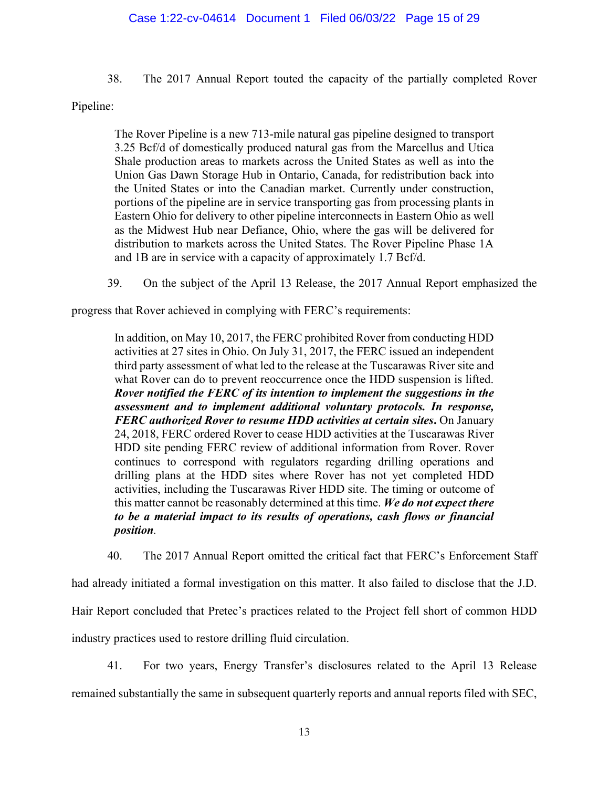## Case 1:22-cv-04614 Document 1 Filed 06/03/22 Page 15 of 29

38. The 2017 Annual Report touted the capacity of the partially completed Rover

Pipeline:

The Rover Pipeline is a new 713-mile natural gas pipeline designed to transport 3.25 Bcf/d of domestically produced natural gas from the Marcellus and Utica Shale production areas to markets across the United States as well as into the Union Gas Dawn Storage Hub in Ontario, Canada, for redistribution back into the United States or into the Canadian market. Currently under construction, portions of the pipeline are in service transporting gas from processing plants in Eastern Ohio for delivery to other pipeline interconnects in Eastern Ohio as well as the Midwest Hub near Defiance, Ohio, where the gas will be delivered for distribution to markets across the United States. The Rover Pipeline Phase 1A and 1B are in service with a capacity of approximately 1.7 Bcf/d.

39. On the subject of the April 13 Release, the 2017 Annual Report emphasized the

progress that Rover achieved in complying with FERC's requirements:

In addition, on May 10, 2017, the FERC prohibited Rover from conducting HDD activities at 27 sites in Ohio. On July 31, 2017, the FERC issued an independent third party assessment of what led to the release at the Tuscarawas River site and what Rover can do to prevent reoccurrence once the HDD suspension is lifted. *Rover notified the FERC of its intention to implement the suggestions in the assessment and to implement additional voluntary protocols. In response, FERC authorized Rover to resume HDD activities at certain sites***.** On January 24, 2018, FERC ordered Rover to cease HDD activities at the Tuscarawas River HDD site pending FERC review of additional information from Rover. Rover continues to correspond with regulators regarding drilling operations and drilling plans at the HDD sites where Rover has not yet completed HDD activities, including the Tuscarawas River HDD site. The timing or outcome of this matter cannot be reasonably determined at this time. *We do not expect there to be a material impact to its results of operations, cash flows or financial position.*

40. The 2017 Annual Report omitted the critical fact that FERC's Enforcement Staff

had already initiated a formal investigation on this matter. It also failed to disclose that the J.D.

Hair Report concluded that Pretec's practices related to the Project fell short of common HDD

industry practices used to restore drilling fluid circulation.

41. For two years, Energy Transfer's disclosures related to the April 13 Release

remained substantially the same in subsequent quarterly reports and annual reports filed with SEC,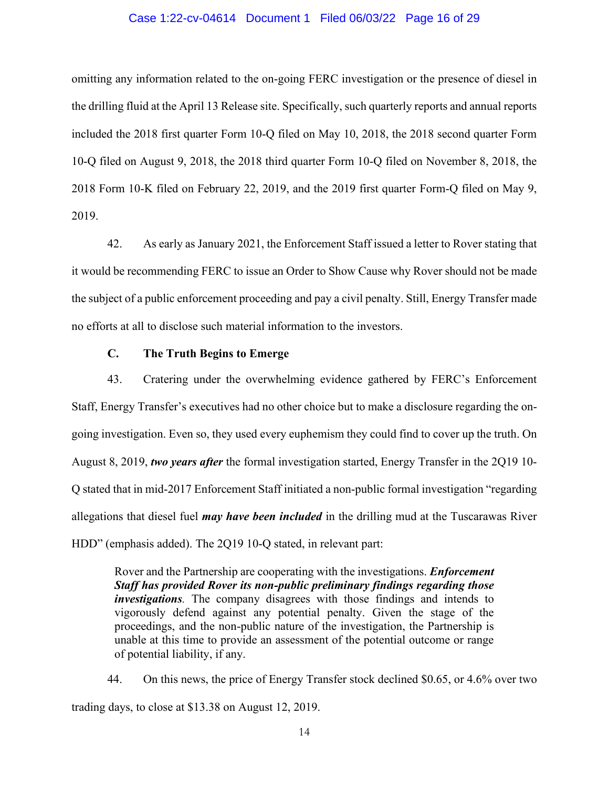#### Case 1:22-cv-04614 Document 1 Filed 06/03/22 Page 16 of 29

omitting any information related to the on-going FERC investigation or the presence of diesel in the drilling fluid at the April 13 Release site. Specifically, such quarterly reports and annual reports included the 2018 first quarter Form 10-Q filed on May 10, 2018, the 2018 second quarter Form 10-Q filed on August 9, 2018, the 2018 third quarter Form 10-Q filed on November 8, 2018, the 2018 Form 10-K filed on February 22, 2019, and the 2019 first quarter Form-Q filed on May 9, 2019.

42. As early as January 2021, the Enforcement Staff issued a letter to Rover stating that it would be recommending FERC to issue an Order to Show Cause why Rover should not be made the subject of a public enforcement proceeding and pay a civil penalty. Still, Energy Transfer made no efforts at all to disclose such material information to the investors.

#### **C. The Truth Begins to Emerge**

43. Cratering under the overwhelming evidence gathered by FERC's Enforcement Staff, Energy Transfer's executives had no other choice but to make a disclosure regarding the ongoing investigation. Even so, they used every euphemism they could find to cover up the truth. On August 8, 2019, *two years after* the formal investigation started, Energy Transfer in the 2Q19 10- Q stated that in mid-2017 Enforcement Staff initiated a non-public formal investigation "regarding allegations that diesel fuel *may have been included* in the drilling mud at the Tuscarawas River HDD" (emphasis added). The 2Q19 10-Q stated, in relevant part:

Rover and the Partnership are cooperating with the investigations. *Enforcement Staff has provided Rover its non-public preliminary findings regarding those investigations.* The company disagrees with those findings and intends to vigorously defend against any potential penalty. Given the stage of the proceedings, and the non-public nature of the investigation, the Partnership is unable at this time to provide an assessment of the potential outcome or range of potential liability, if any.

44. On this news, the price of Energy Transfer stock declined \$0.65, or 4.6% over two trading days, to close at \$13.38 on August 12, 2019.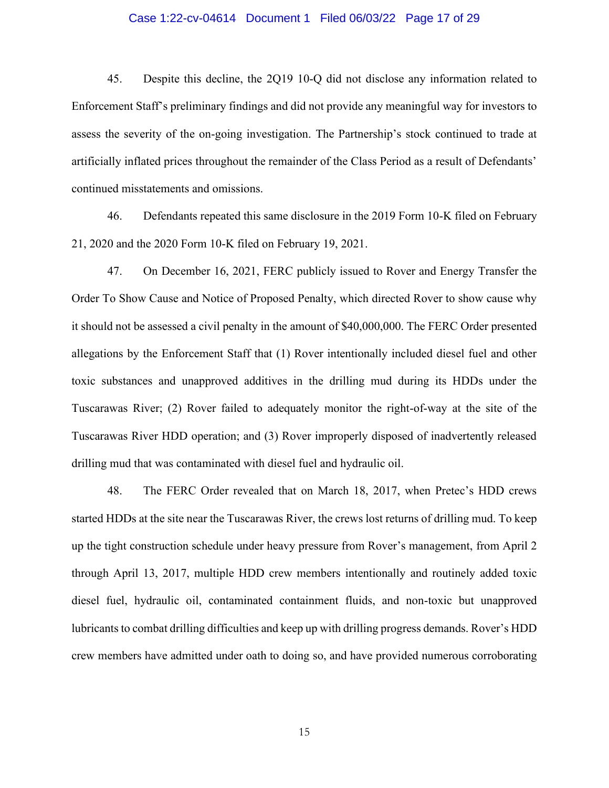#### Case 1:22-cv-04614 Document 1 Filed 06/03/22 Page 17 of 29

45. Despite this decline, the 2Q19 10-Q did not disclose any information related to Enforcement Staff's preliminary findings and did not provide any meaningful way for investors to assess the severity of the on-going investigation. The Partnership's stock continued to trade at artificially inflated prices throughout the remainder of the Class Period as a result of Defendants' continued misstatements and omissions.

46. Defendants repeated this same disclosure in the 2019 Form 10-K filed on February 21, 2020 and the 2020 Form 10-K filed on February 19, 2021.

47. On December 16, 2021, FERC publicly issued to Rover and Energy Transfer the Order To Show Cause and Notice of Proposed Penalty, which directed Rover to show cause why it should not be assessed a civil penalty in the amount of \$40,000,000. The FERC Order presented allegations by the Enforcement Staff that (1) Rover intentionally included diesel fuel and other toxic substances and unapproved additives in the drilling mud during its HDDs under the Tuscarawas River; (2) Rover failed to adequately monitor the right-of-way at the site of the Tuscarawas River HDD operation; and (3) Rover improperly disposed of inadvertently released drilling mud that was contaminated with diesel fuel and hydraulic oil.

48. The FERC Order revealed that on March 18, 2017, when Pretec's HDD crews started HDDs at the site near the Tuscarawas River, the crews lost returns of drilling mud. To keep up the tight construction schedule under heavy pressure from Rover's management, from April 2 through April 13, 2017, multiple HDD crew members intentionally and routinely added toxic diesel fuel, hydraulic oil, contaminated containment fluids, and non-toxic but unapproved lubricants to combat drilling difficulties and keep up with drilling progress demands. Rover's HDD crew members have admitted under oath to doing so, and have provided numerous corroborating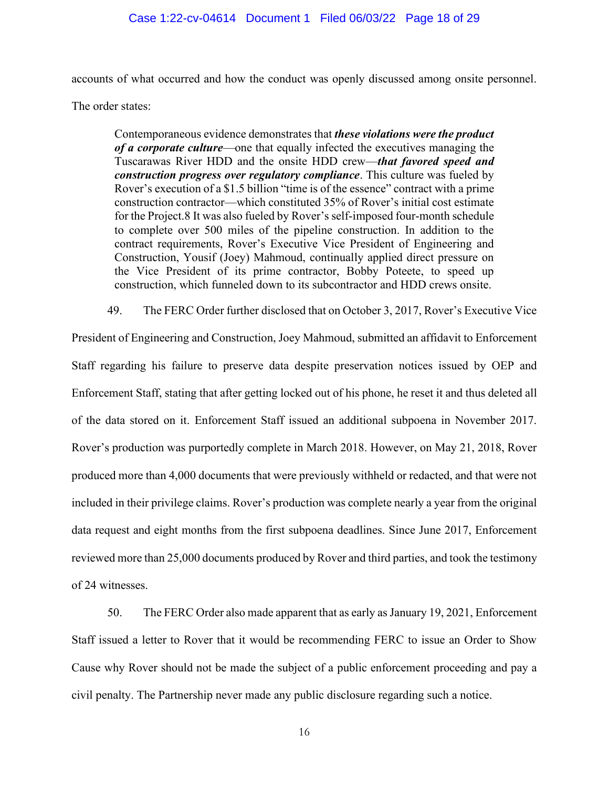accounts of what occurred and how the conduct was openly discussed among onsite personnel.

The order states:

Contemporaneous evidence demonstrates that *these violations were the product of a corporate culture*—one that equally infected the executives managing the Tuscarawas River HDD and the onsite HDD crew—*that favored speed and construction progress over regulatory compliance*. This culture was fueled by Rover's execution of a \$1.5 billion "time is of the essence" contract with a prime construction contractor—which constituted 35% of Rover's initial cost estimate for the Project.8 It was also fueled by Rover's self-imposed four-month schedule to complete over 500 miles of the pipeline construction. In addition to the contract requirements, Rover's Executive Vice President of Engineering and Construction, Yousif (Joey) Mahmoud, continually applied direct pressure on the Vice President of its prime contractor, Bobby Poteete, to speed up construction, which funneled down to its subcontractor and HDD crews onsite.

49. The FERC Order further disclosed that on October 3, 2017, Rover's Executive Vice

President of Engineering and Construction, Joey Mahmoud, submitted an affidavit to Enforcement Staff regarding his failure to preserve data despite preservation notices issued by OEP and Enforcement Staff, stating that after getting locked out of his phone, he reset it and thus deleted all of the data stored on it. Enforcement Staff issued an additional subpoena in November 2017. Rover's production was purportedly complete in March 2018. However, on May 21, 2018, Rover produced more than 4,000 documents that were previously withheld or redacted, and that were not included in their privilege claims. Rover's production was complete nearly a year from the original data request and eight months from the first subpoena deadlines. Since June 2017, Enforcement reviewed more than 25,000 documents produced by Rover and third parties, and took the testimony of 24 witnesses.

50. The FERC Order also made apparent that as early as January 19, 2021, Enforcement Staff issued a letter to Rover that it would be recommending FERC to issue an Order to Show Cause why Rover should not be made the subject of a public enforcement proceeding and pay a civil penalty. The Partnership never made any public disclosure regarding such a notice.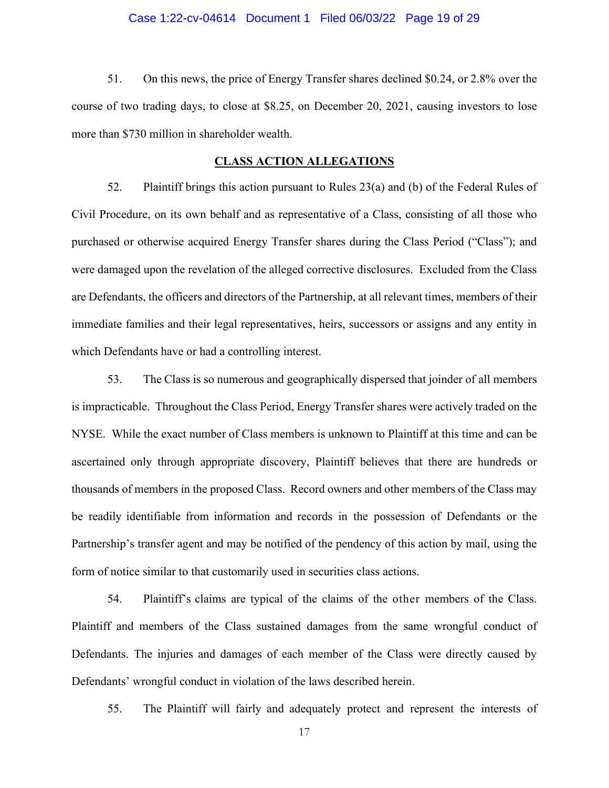#### Case 1:22-cv-04614 Document 1 Filed 06/03/22 Page 19 of 29

51. On this news, the price of Energy Transfer shares declined \$0.24, or 2.8% over the course of two trading days, to close at \$8.25, on December 20, 2021, causing investors to lose more than \$730 million in shareholder wealth.

#### **CLASS ACTION ALLEGATIONS**

<span id="page-18-0"></span>52. Plaintiff brings this action pursuant to Rules 23(a) and (b) of the Federal Rules of Civil Procedure, on its own behalf and as representative of a Class, consisting of all those who purchased or otherwise acquired Energy Transfer shares during the Class Period ("Class"); and were damaged upon the revelation of the alleged corrective disclosures. Excluded from the Class are Defendants, the officers and directors of the Partnership, at all relevant times, members of their immediate families and their legal representatives, heirs, successors or assigns and any entity in which Defendants have or had a controlling interest.

53. The Class is so numerous and geographically dispersed that joinder of all members is impracticable. Throughout the Class Period, Energy Transfer shares were actively traded on the NYSE. While the exact number of Class members is unknown to Plaintiff at this time and can be ascertained only through appropriate discovery, Plaintiff believes that there are hundreds or thousands of members in the proposed Class. Record owners and other members of the Class may be readily identifiable from information and records in the possession of Defendants or the Partnership's transfer agent and may be notified of the pendency of this action by mail, using the form of notice similar to that customarily used in securities class actions.

54. Plaintiff's claims are typical of the claims of the other members of the Class. Plaintiff and members of the Class sustained damages from the same wrongful conduct of Defendants. The injuries and damages of each member of the Class were directly caused by Defendants' wrongful conduct in violation of the laws described herein.

55. The Plaintiff will fairly and adequately protect and represent the interests of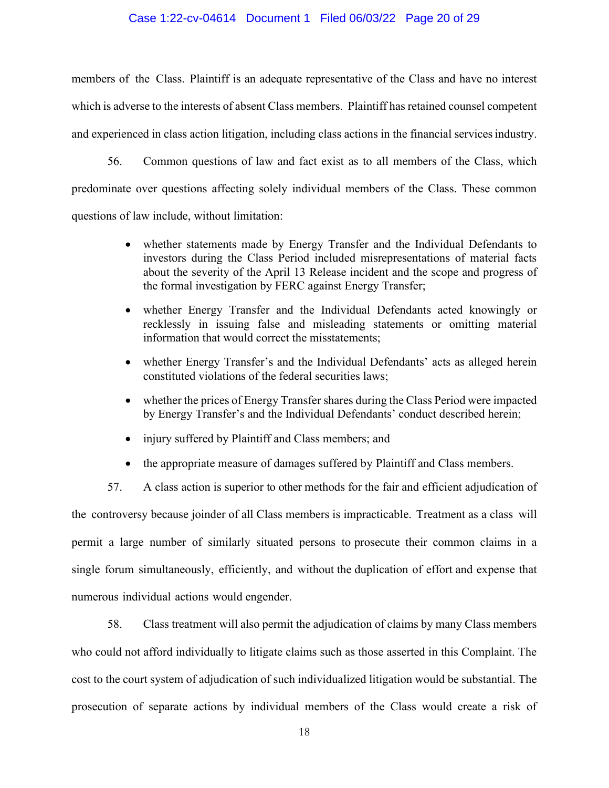#### Case 1:22-cv-04614 Document 1 Filed 06/03/22 Page 20 of 29

members of the Class. Plaintiff is an adequate representative of the Class and have no interest which is adverse to the interests of absent Class members. Plaintiff has retained counsel competent and experienced in class action litigation, including class actions in the financial services industry.

56. Common questions of law and fact exist as to all members of the Class, which predominate over questions affecting solely individual members of the Class. These common questions of law include, without limitation:

- whether statements made by Energy Transfer and the Individual Defendants to investors during the Class Period included misrepresentations of material facts about the severity of the April 13 Release incident and the scope and progress of the formal investigation by FERC against Energy Transfer;
- whether Energy Transfer and the Individual Defendants acted knowingly or recklessly in issuing false and misleading statements or omitting material information that would correct the misstatements;
- whether Energy Transfer's and the Individual Defendants' acts as alleged herein constituted violations of the federal securities laws;
- whether the prices of Energy Transfer shares during the Class Period were impacted by Energy Transfer's and the Individual Defendants' conduct described herein;
- injury suffered by Plaintiff and Class members; and
- the appropriate measure of damages suffered by Plaintiff and Class members.

57. A class action is superior to other methods for the fair and efficient adjudication of the controversy because joinder of all Class members is impracticable. Treatment as a class will permit a large number of similarly situated persons to prosecute their common claims in a single forum simultaneously, efficiently, and without the duplication of effort and expense that numerous individual actions would engender.

58. Class treatment will also permit the adjudication of claims by many Class members who could not afford individually to litigate claims such as those asserted in this Complaint. The cost to the court system of adjudication of such individualized litigation would be substantial. The prosecution of separate actions by individual members of the Class would create a risk of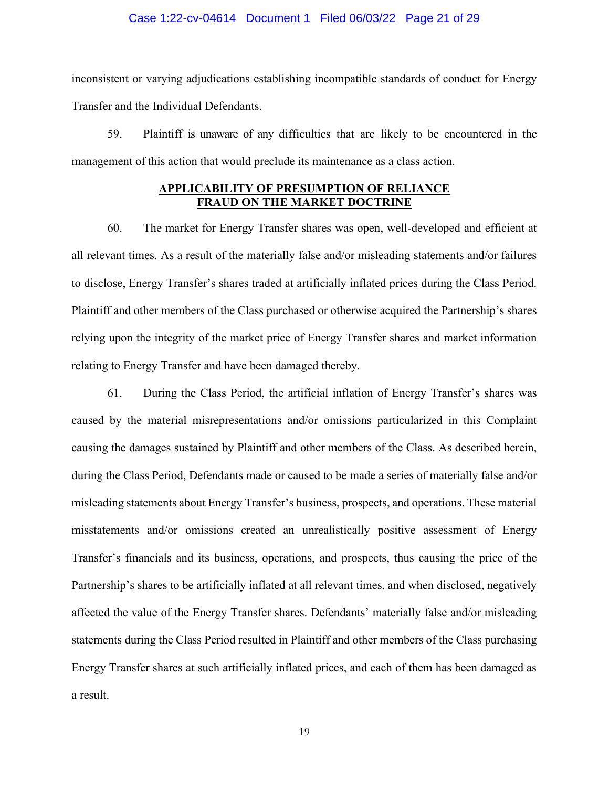#### Case 1:22-cv-04614 Document 1 Filed 06/03/22 Page 21 of 29

inconsistent or varying adjudications establishing incompatible standards of conduct for Energy Transfer and the Individual Defendants.

59. Plaintiff is unaware of any difficulties that are likely to be encountered in the management of this action that would preclude its maintenance as a class action.

## **APPLICABILITY OF PRESUMPTION OF RELIANCE FRAUD ON THE MARKET DOCTRINE**

<span id="page-20-0"></span>60. The market for Energy Transfer shares was open, well-developed and efficient at all relevant times. As a result of the materially false and/or misleading statements and/or failures to disclose, Energy Transfer's shares traded at artificially inflated prices during the Class Period. Plaintiff and other members of the Class purchased or otherwise acquired the Partnership's shares relying upon the integrity of the market price of Energy Transfer shares and market information relating to Energy Transfer and have been damaged thereby.

61. During the Class Period, the artificial inflation of Energy Transfer's shares was caused by the material misrepresentations and/or omissions particularized in this Complaint causing the damages sustained by Plaintiff and other members of the Class. As described herein, during the Class Period, Defendants made or caused to be made a series of materially false and/or misleading statements about Energy Transfer's business, prospects, and operations. These material misstatements and/or omissions created an unrealistically positive assessment of Energy Transfer's financials and its business, operations, and prospects, thus causing the price of the Partnership's shares to be artificially inflated at all relevant times, and when disclosed, negatively affected the value of the Energy Transfer shares. Defendants' materially false and/or misleading statements during the Class Period resulted in Plaintiff and other members of the Class purchasing Energy Transfer shares at such artificially inflated prices, and each of them has been damaged as a result.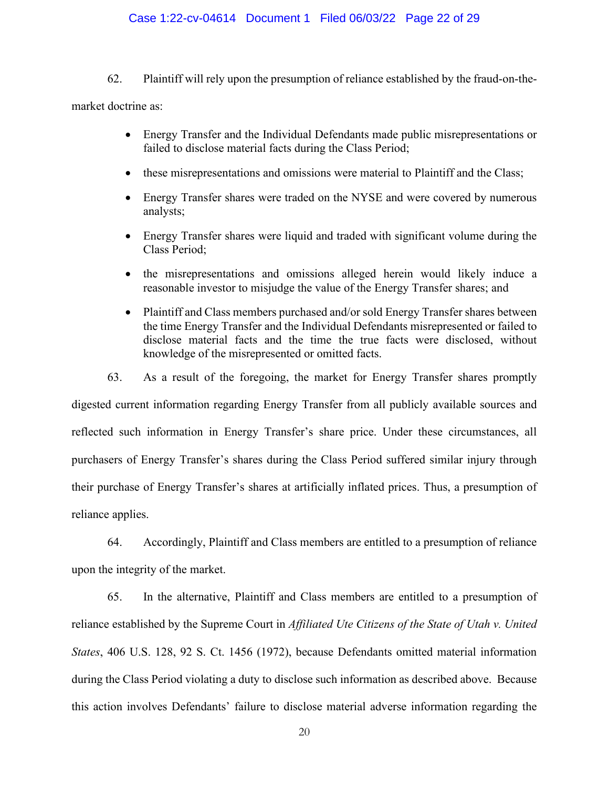#### Case 1:22-cv-04614 Document 1 Filed 06/03/22 Page 22 of 29

62. Plaintiff will rely upon the presumption of reliance established by the fraud-on-the-

market doctrine as:

- Energy Transfer and the Individual Defendants made public misrepresentations or failed to disclose material facts during the Class Period;
- these misrepresentations and omissions were material to Plaintiff and the Class;
- Energy Transfer shares were traded on the NYSE and were covered by numerous analysts;
- Energy Transfer shares were liquid and traded with significant volume during the Class Period;
- the misrepresentations and omissions alleged herein would likely induce a reasonable investor to misjudge the value of the Energy Transfer shares; and
- Plaintiff and Class members purchased and/or sold Energy Transfer shares between the time Energy Transfer and the Individual Defendants misrepresented or failed to disclose material facts and the time the true facts were disclosed, without knowledge of the misrepresented or omitted facts.

63. As a result of the foregoing, the market for Energy Transfer shares promptly digested current information regarding Energy Transfer from all publicly available sources and reflected such information in Energy Transfer's share price. Under these circumstances, all purchasers of Energy Transfer's shares during the Class Period suffered similar injury through their purchase of Energy Transfer's shares at artificially inflated prices. Thus, a presumption of reliance applies.

64. Accordingly, Plaintiff and Class members are entitled to a presumption of reliance upon the integrity of the market.

65. In the alternative, Plaintiff and Class members are entitled to a presumption of reliance established by the Supreme Court in *Affiliated Ute Citizens of the State of Utah v. United States*, 406 U.S. 128, 92 S. Ct. 1456 (1972), because Defendants omitted material information during the Class Period violating a duty to disclose such information as described above. Because this action involves Defendants' failure to disclose material adverse information regarding the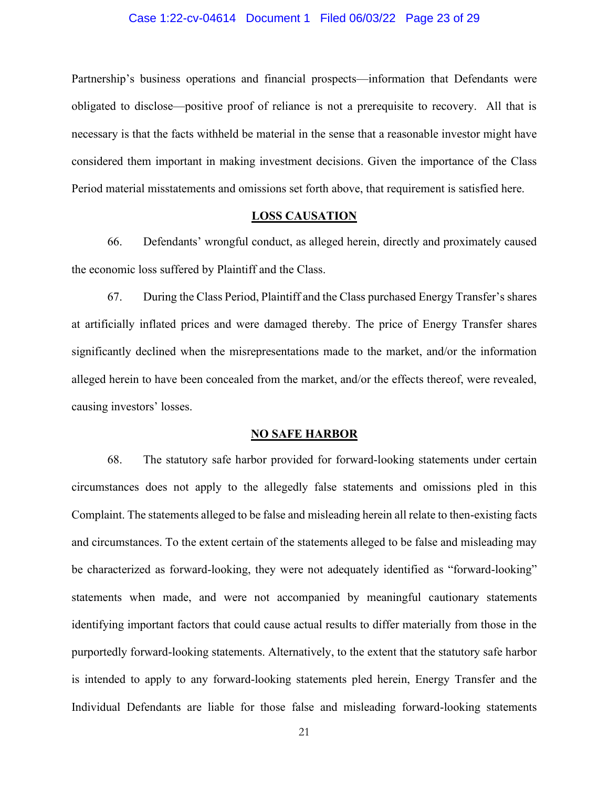#### Case 1:22-cv-04614 Document 1 Filed 06/03/22 Page 23 of 29

Partnership's business operations and financial prospects—information that Defendants were obligated to disclose—positive proof of reliance is not a prerequisite to recovery. All that is necessary is that the facts withheld be material in the sense that a reasonable investor might have considered them important in making investment decisions. Given the importance of the Class Period material misstatements and omissions set forth above, that requirement is satisfied here.

## **LOSS CAUSATION**

<span id="page-22-0"></span>66. Defendants' wrongful conduct, as alleged herein, directly and proximately caused the economic loss suffered by Plaintiff and the Class.

67. During the Class Period, Plaintiff and the Class purchased Energy Transfer's shares at artificially inflated prices and were damaged thereby. The price of Energy Transfer shares significantly declined when the misrepresentations made to the market, and/or the information alleged herein to have been concealed from the market, and/or the effects thereof, were revealed, causing investors' losses.

#### **NO SAFE HARBOR**

<span id="page-22-1"></span>68. The statutory safe harbor provided for forward-looking statements under certain circumstances does not apply to the allegedly false statements and omissions pled in this Complaint. The statements alleged to be false and misleading herein all relate to then-existing facts and circumstances. To the extent certain of the statements alleged to be false and misleading may be characterized as forward-looking, they were not adequately identified as "forward-looking" statements when made, and were not accompanied by meaningful cautionary statements identifying important factors that could cause actual results to differ materially from those in the purportedly forward-looking statements. Alternatively, to the extent that the statutory safe harbor is intended to apply to any forward-looking statements pled herein, Energy Transfer and the Individual Defendants are liable for those false and misleading forward-looking statements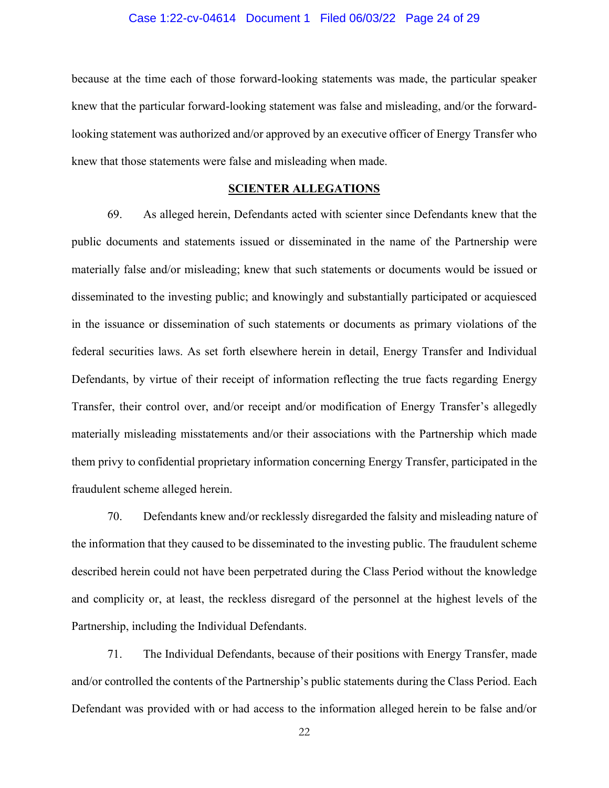#### Case 1:22-cv-04614 Document 1 Filed 06/03/22 Page 24 of 29

because at the time each of those forward-looking statements was made, the particular speaker knew that the particular forward-looking statement was false and misleading, and/or the forwardlooking statement was authorized and/or approved by an executive officer of Energy Transfer who knew that those statements were false and misleading when made.

### **SCIENTER ALLEGATIONS**

<span id="page-23-0"></span>69. As alleged herein, Defendants acted with scienter since Defendants knew that the public documents and statements issued or disseminated in the name of the Partnership were materially false and/or misleading; knew that such statements or documents would be issued or disseminated to the investing public; and knowingly and substantially participated or acquiesced in the issuance or dissemination of such statements or documents as primary violations of the federal securities laws. As set forth elsewhere herein in detail, Energy Transfer and Individual Defendants, by virtue of their receipt of information reflecting the true facts regarding Energy Transfer, their control over, and/or receipt and/or modification of Energy Transfer's allegedly materially misleading misstatements and/or their associations with the Partnership which made them privy to confidential proprietary information concerning Energy Transfer, participated in the fraudulent scheme alleged herein.

70. Defendants knew and/or recklessly disregarded the falsity and misleading nature of the information that they caused to be disseminated to the investing public. The fraudulent scheme described herein could not have been perpetrated during the Class Period without the knowledge and complicity or, at least, the reckless disregard of the personnel at the highest levels of the Partnership, including the Individual Defendants.

71. The Individual Defendants, because of their positions with Energy Transfer, made and/or controlled the contents of the Partnership's public statements during the Class Period. Each Defendant was provided with or had access to the information alleged herein to be false and/or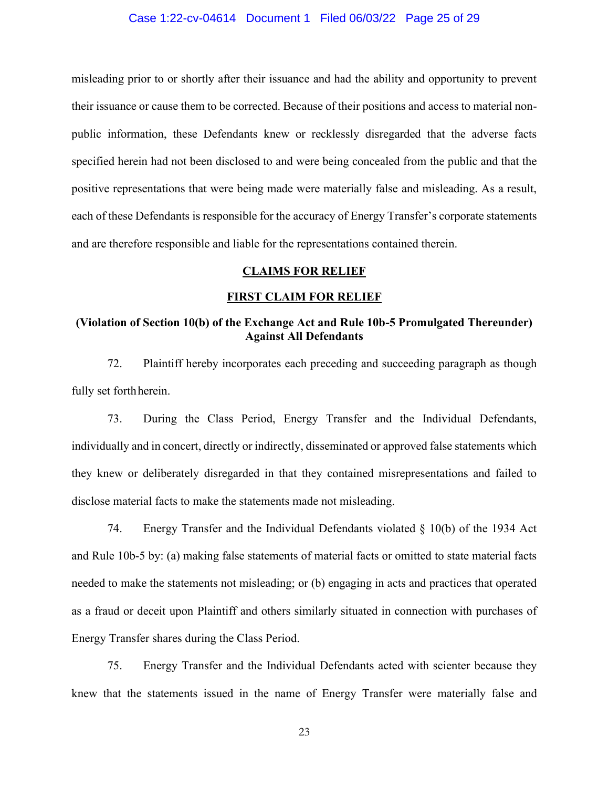#### Case 1:22-cv-04614 Document 1 Filed 06/03/22 Page 25 of 29

misleading prior to or shortly after their issuance and had the ability and opportunity to prevent their issuance or cause them to be corrected. Because of their positions and access to material nonpublic information, these Defendants knew or recklessly disregarded that the adverse facts specified herein had not been disclosed to and were being concealed from the public and that the positive representations that were being made were materially false and misleading. As a result, each of these Defendants is responsible for the accuracy of Energy Transfer's corporate statements and are therefore responsible and liable for the representations contained therein.

#### **CLAIMS FOR RELIEF**

#### **FIRST CLAIM FOR RELIEF**

## <span id="page-24-1"></span><span id="page-24-0"></span>**(Violation of Section 10(b) of the Exchange Act and Rule 10b-5 Promulgated Thereunder) Against All Defendants**

72. Plaintiff hereby incorporates each preceding and succeeding paragraph as though fully set forthherein.

73. During the Class Period, Energy Transfer and the Individual Defendants, individually and in concert, directly or indirectly, disseminated or approved false statements which they knew or deliberately disregarded in that they contained misrepresentations and failed to disclose material facts to make the statements made not misleading.

74. Energy Transfer and the Individual Defendants violated  $\S$  10(b) of the 1934 Act and Rule 10b-5 by: (a) making false statements of material facts or omitted to state material facts needed to make the statements not misleading; or (b) engaging in acts and practices that operated as a fraud or deceit upon Plaintiff and others similarly situated in connection with purchases of Energy Transfer shares during the Class Period.

75. Energy Transfer and the Individual Defendants acted with scienter because they knew that the statements issued in the name of Energy Transfer were materially false and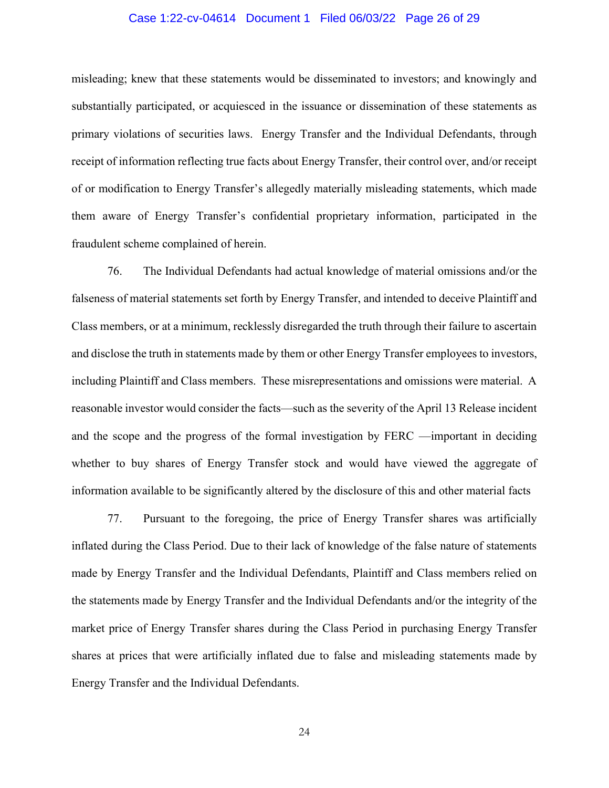#### Case 1:22-cv-04614 Document 1 Filed 06/03/22 Page 26 of 29

misleading; knew that these statements would be disseminated to investors; and knowingly and substantially participated, or acquiesced in the issuance or dissemination of these statements as primary violations of securities laws. Energy Transfer and the Individual Defendants, through receipt of information reflecting true facts about Energy Transfer, their control over, and/or receipt of or modification to Energy Transfer's allegedly materially misleading statements, which made them aware of Energy Transfer's confidential proprietary information, participated in the fraudulent scheme complained of herein.

76. The Individual Defendants had actual knowledge of material omissions and/or the falseness of material statements set forth by Energy Transfer, and intended to deceive Plaintiff and Class members, or at a minimum, recklessly disregarded the truth through their failure to ascertain and disclose the truth in statements made by them or other Energy Transfer employees to investors, including Plaintiff and Class members. These misrepresentations and omissions were material. A reasonable investor would consider the facts—such as the severity of the April 13 Release incident and the scope and the progress of the formal investigation by FERC —important in deciding whether to buy shares of Energy Transfer stock and would have viewed the aggregate of information available to be significantly altered by the disclosure of this and other material facts

77. Pursuant to the foregoing, the price of Energy Transfer shares was artificially inflated during the Class Period. Due to their lack of knowledge of the false nature of statements made by Energy Transfer and the Individual Defendants, Plaintiff and Class members relied on the statements made by Energy Transfer and the Individual Defendants and/or the integrity of the market price of Energy Transfer shares during the Class Period in purchasing Energy Transfer shares at prices that were artificially inflated due to false and misleading statements made by Energy Transfer and the Individual Defendants.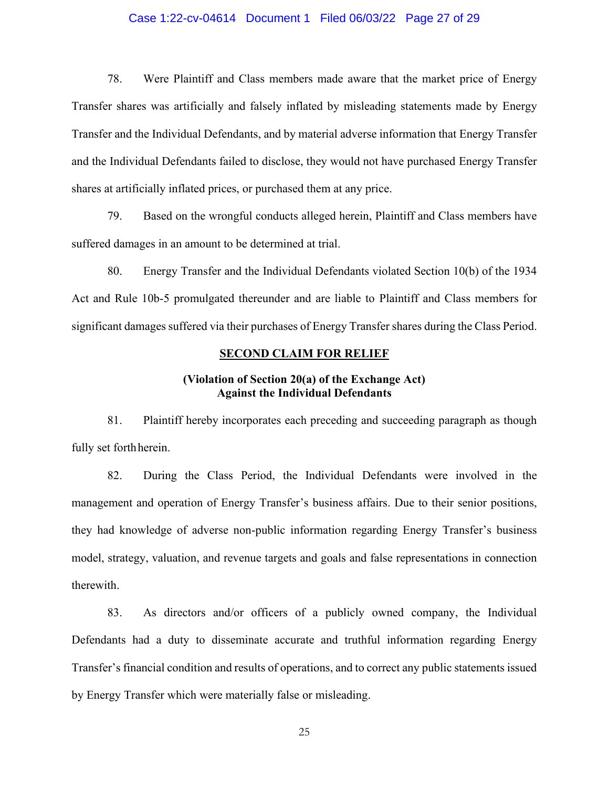#### Case 1:22-cv-04614 Document 1 Filed 06/03/22 Page 27 of 29

78. Were Plaintiff and Class members made aware that the market price of Energy Transfer shares was artificially and falsely inflated by misleading statements made by Energy Transfer and the Individual Defendants, and by material adverse information that Energy Transfer and the Individual Defendants failed to disclose, they would not have purchased Energy Transfer shares at artificially inflated prices, or purchased them at any price.

79. Based on the wrongful conducts alleged herein, Plaintiff and Class members have suffered damages in an amount to be determined at trial.

80. Energy Transfer and the Individual Defendants violated Section 10(b) of the 1934 Act and Rule 10b-5 promulgated thereunder and are liable to Plaintiff and Class members for significant damages suffered via their purchases of Energy Transfer shares during the Class Period.

## **SECOND CLAIM FOR RELIEF**

## **(Violation of Section 20(a) of the Exchange Act) Against the Individual Defendants**

<span id="page-26-0"></span>81. Plaintiff hereby incorporates each preceding and succeeding paragraph as though fully set forthherein.

82. During the Class Period, the Individual Defendants were involved in the management and operation of Energy Transfer's business affairs. Due to their senior positions, they had knowledge of adverse non-public information regarding Energy Transfer's business model, strategy, valuation, and revenue targets and goals and false representations in connection therewith.

83. As directors and/or officers of a publicly owned company, the Individual Defendants had a duty to disseminate accurate and truthful information regarding Energy Transfer's financial condition and results of operations, and to correct any public statements issued by Energy Transfer which were materially false or misleading.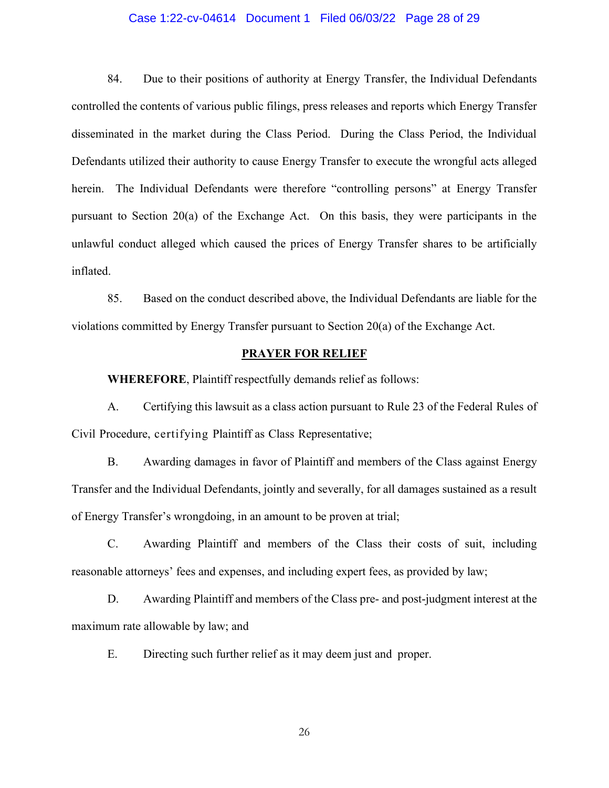#### Case 1:22-cv-04614 Document 1 Filed 06/03/22 Page 28 of 29

84. Due to their positions of authority at Energy Transfer, the Individual Defendants controlled the contents of various public filings, press releases and reports which Energy Transfer disseminated in the market during the Class Period. During the Class Period, the Individual Defendants utilized their authority to cause Energy Transfer to execute the wrongful acts alleged herein. The Individual Defendants were therefore "controlling persons" at Energy Transfer pursuant to Section 20(a) of the Exchange Act. On this basis, they were participants in the unlawful conduct alleged which caused the prices of Energy Transfer shares to be artificially inflated.

85. Based on the conduct described above, the Individual Defendants are liable for the violations committed by Energy Transfer pursuant to Section 20(a) of the Exchange Act.

#### **PRAYER FOR RELIEF**

<span id="page-27-0"></span>**WHEREFORE**, Plaintiff respectfully demands relief as follows:

A. Certifying this lawsuit as a class action pursuant to Rule 23 of the Federal Rules of Civil Procedure, certifying Plaintiff as Class Representative;

B. Awarding damages in favor of Plaintiff and members of the Class against Energy Transfer and the Individual Defendants, jointly and severally, for all damages sustained as a result of Energy Transfer's wrongdoing, in an amount to be proven at trial;

C. Awarding Plaintiff and members of the Class their costs of suit, including reasonable attorneys' fees and expenses, and including expert fees, as provided by law;

D. Awarding Plaintiff and members of the Class pre- and post-judgment interest at the maximum rate allowable by law; and

E. Directing such further relief as it may deem just and proper.